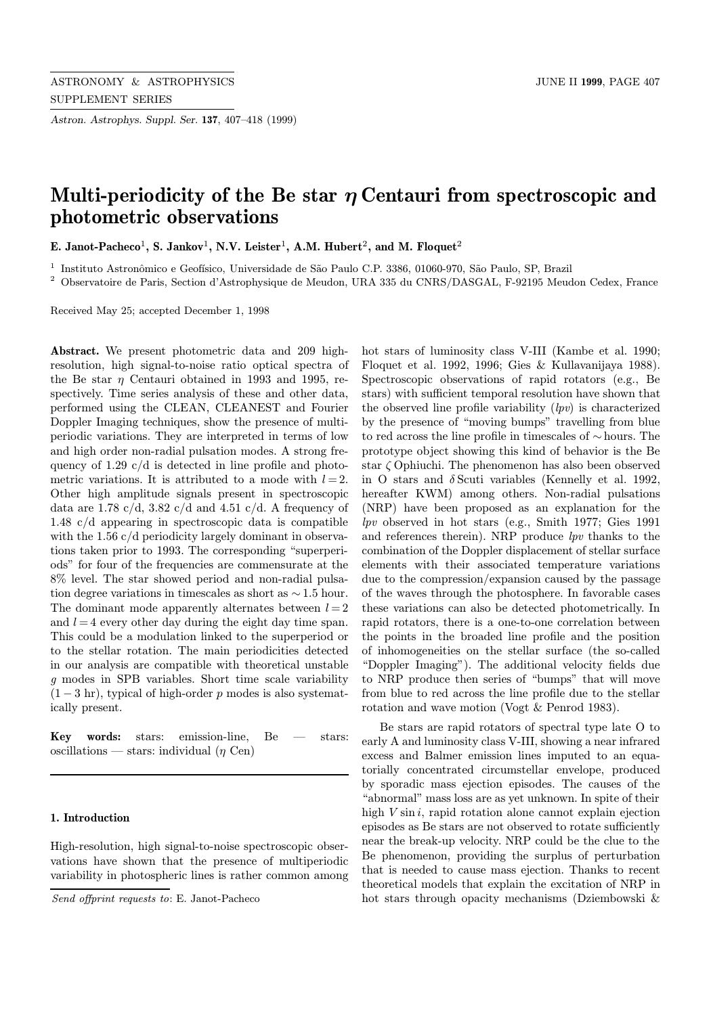Astron. Astrophys. Suppl. Ser. 137, 407–418 (1999)

# Multi-periodicity of the Be star  $\eta$  Centauri from spectroscopic and photometric observations

E. Janot-Pacheco<sup>1</sup>, S. Jankov<sup>1</sup>, N.V. Leister<sup>1</sup>, A.M. Hubert<sup>2</sup>, and M. Floquet<sup>2</sup>

<sup>1</sup> Instituto Astronômico e Geofísico, Universidade de São Paulo C.P. 3386, 01060-970, São Paulo, SP, Brazil

<sup>2</sup> Observatoire de Paris, Section d'Astrophysique de Meudon, URA 335 du CNRS/DASGAL, F-92195 Meudon Cedex, France

Received May 25; accepted December 1, 1998

Abstract. We present photometric data and 209 highresolution, high signal-to-noise ratio optical spectra of the Be star  $\eta$  Centauri obtained in 1993 and 1995, respectively. Time series analysis of these and other data, performed using the CLEAN, CLEANEST and Fourier Doppler Imaging techniques, show the presence of multiperiodic variations. They are interpreted in terms of low and high order non-radial pulsation modes. A strong frequency of 1.29  $c/d$  is detected in line profile and photometric variations. It is attributed to a mode with  $l = 2$ . Other high amplitude signals present in spectroscopic data are 1.78 c/d, 3.82 c/d and 4.51 c/d. A frequency of 1.48 c/d appearing in spectroscopic data is compatible with the 1.56 c/d periodicity largely dominant in observations taken prior to 1993. The corresponding "superperiods" for four of the frequencies are commensurate at the 8% level. The star showed period and non-radial pulsation degree variations in timescales as short as  $\sim$  1.5 hour. The dominant mode apparently alternates between  $l = 2$ and  $l = 4$  every other day during the eight day time span. This could be a modulation linked to the superperiod or to the stellar rotation. The main periodicities detected in our analysis are compatible with theoretical unstable g modes in SPB variables. Short time scale variability  $(1-3 \text{ hr})$ , typical of high-order p modes is also systematically present.

**Key words:** stars: emission-line,  $Be$   $-$  stars: oscillations — stars: individual  $(\eta \text{ Cen})$ 

# 1. Introduction

High-resolution, high signal-to-noise spectroscopic observations have shown that the presence of multiperiodic variability in photospheric lines is rather common among hot stars of luminosity class V-III (Kambe et al. 1990; Floquet et al. 1992, 1996; Gies & Kullavanijaya 1988). Spectroscopic observations of rapid rotators (e.g., Be stars) with sufficient temporal resolution have shown that the observed line profile variability  $(lpv)$  is characterized by the presence of "moving bumps" travelling from blue to red across the line profile in timescales of ∼ hours. The prototype object showing this kind of behavior is the Be star ζ Ophiuchi. The phenomenon has also been observed in O stars and  $\delta$  Scuti variables (Kennelly et al. 1992, hereafter KWM) among others. Non-radial pulsations (NRP) have been proposed as an explanation for the lpv observed in hot stars (e.g., Smith 1977; Gies 1991 and references therein). NRP produce  $lpv$  thanks to the combination of the Doppler displacement of stellar surface elements with their associated temperature variations due to the compression/expansion caused by the passage of the waves through the photosphere. In favorable cases these variations can also be detected photometrically. In rapid rotators, there is a one-to-one correlation between the points in the broaded line profile and the position of inhomogeneities on the stellar surface (the so-called "Doppler Imaging"). The additional velocity fields due to NRP produce then series of "bumps" that will move from blue to red across the line profile due to the stellar rotation and wave motion (Vogt & Penrod 1983).

Be stars are rapid rotators of spectral type late O to early A and luminosity class V-III, showing a near infrared excess and Balmer emission lines imputed to an equatorially concentrated circumstellar envelope, produced by sporadic mass ejection episodes. The causes of the "abnormal" mass loss are as yet unknown. In spite of their high  $V \sin i$ , rapid rotation alone cannot explain ejection episodes as Be stars are not observed to rotate sufficiently near the break-up velocity. NRP could be the clue to the Be phenomenon, providing the surplus of perturbation that is needed to cause mass ejection. Thanks to recent theoretical models that explain the excitation of NRP in hot stars through opacity mechanisms (Dziembowski &

Send offprint requests to: E. Janot-Pacheco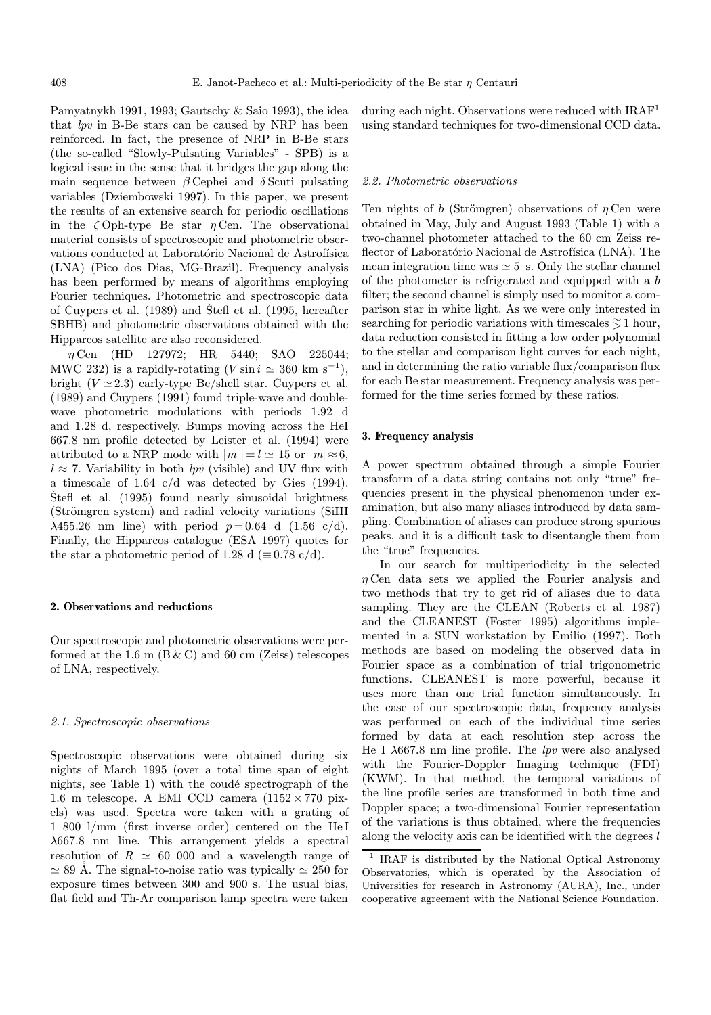Pamyatnykh 1991, 1993; Gautschy & Saio 1993), the idea that lpv in B-Be stars can be caused by NRP has been reinforced. In fact, the presence of NRP in B-Be stars (the so-called "Slowly-Pulsating Variables" - SPB) is a logical issue in the sense that it bridges the gap along the main sequence between  $\beta$  Cephei and  $\delta$  Scuti pulsating variables (Dziembowski 1997). In this paper, we present the results of an extensive search for periodic oscillations in the  $\zeta$  Oph-type Be star  $\eta$  Cen. The observational material consists of spectroscopic and photometric observations conducted at Laboratório Nacional de Astrofísica (LNA) (Pico dos Dias, MG-Brazil). Frequency analysis has been performed by means of algorithms employing Fourier techniques. Photometric and spectroscopic data of Cuypers et al.  $(1989)$  and Stefl et al.  $(1995, \text{ hereafter})$ SBHB) and photometric observations obtained with the Hipparcos satellite are also reconsidered.

 $\eta$  Cen (HD 127972; HR 5440; SAO 225044; MWC 232) is a rapidly-rotating (V sin  $i \approx 360 \text{ km s}^{-1}$ ), bright  $(V \approx 2.3)$  early-type Be/shell star. Cuypers et al. (1989) and Cuypers (1991) found triple-wave and doublewave photometric modulations with periods 1.92 d and 1.28 d, respectively. Bumps moving across the HeI 667.8 nm profile detected by Leister et al. (1994) were attributed to a NRP mode with  $|m| = l \approx 15$  or  $|m| \approx 6$ ,  $l \approx 7$ . Variability in both *lpv* (visible) and UV flux with a timescale of 1.64 c/d was detected by Gies (1994).  $\text{Štefl}$  et al. (1995) found nearly sinusoidal brightness (Strömgren system) and radial velocity variations (SiIII)  $\lambda$ 455.26 nm line) with period  $p = 0.64$  d (1.56 c/d). Finally, the Hipparcos catalogue (ESA 1997) quotes for the star a photometric period of 1.28 d ( $\equiv$  0.78 c/d).

# 2. Observations and reductions

Our spectroscopic and photometric observations were performed at the 1.6 m  $(B & C)$  and 60 cm (Zeiss) telescopes of LNA, respectively.

# 2.1. Spectroscopic observations

Spectroscopic observations were obtained during six nights of March 1995 (over a total time span of eight nights, see Table 1) with the coudé spectrograph of the 1.6 m telescope. A EMI CCD camera  $(1152 \times 770)$  pixels) was used. Spectra were taken with a grating of 1 800 l/mm (first inverse order) centered on the He I λ667.8 nm line. This arrangement yields a spectral resolution of  $R \approx 60,000$  and a wavelength range of  $\simeq 89$  Å. The signal-to-noise ratio was typically  $\simeq 250$  for exposure times between 300 and 900 s. The usual bias, flat field and Th-Ar comparison lamp spectra were taken

during each night. Observations were reduced with IRAF<sup>1</sup> using standard techniques for two-dimensional CCD data.

#### 2.2. Photometric observations

Ten nights of b (Strömgren) observations of  $\eta$  Cen were obtained in May, July and August 1993 (Table 1) with a two-channel photometer attached to the 60 cm Zeiss reflector of Laboratório Nacional de Astrofísica (LNA). The mean integration time was  $\simeq 5$  s. Only the stellar channel of the photometer is refrigerated and equipped with a b filter; the second channel is simply used to monitor a comparison star in white light. As we were only interested in searching for periodic variations with timescales  $\lesssim$  1 hour, data reduction consisted in fitting a low order polynomial to the stellar and comparison light curves for each night, and in determining the ratio variable flux/comparison flux for each Be star measurement. Frequency analysis was performed for the time series formed by these ratios.

## 3. Frequency analysis

A power spectrum obtained through a simple Fourier transform of a data string contains not only "true" frequencies present in the physical phenomenon under examination, but also many aliases introduced by data sampling. Combination of aliases can produce strong spurious peaks, and it is a difficult task to disentangle them from the "true" frequencies.

In our search for multiperiodicity in the selected  $\eta$  Cen data sets we applied the Fourier analysis and two methods that try to get rid of aliases due to data sampling. They are the CLEAN (Roberts et al. 1987) and the CLEANEST (Foster 1995) algorithms implemented in a SUN workstation by Emilio (1997). Both methods are based on modeling the observed data in Fourier space as a combination of trial trigonometric functions. CLEANEST is more powerful, because it uses more than one trial function simultaneously. In the case of our spectroscopic data, frequency analysis was performed on each of the individual time series formed by data at each resolution step across the He I  $\lambda$ 667.8 nm line profile. The *lpv* were also analysed with the Fourier-Doppler Imaging technique (FDI) (KWM). In that method, the temporal variations of the line profile series are transformed in both time and Doppler space; a two-dimensional Fourier representation of the variations is thus obtained, where the frequencies along the velocity axis can be identified with the degrees  $l$ 

<sup>1</sup> IRAF is distributed by the National Optical Astronomy Observatories, which is operated by the Association of Universities for research in Astronomy (AURA), Inc., under cooperative agreement with the National Science Foundation.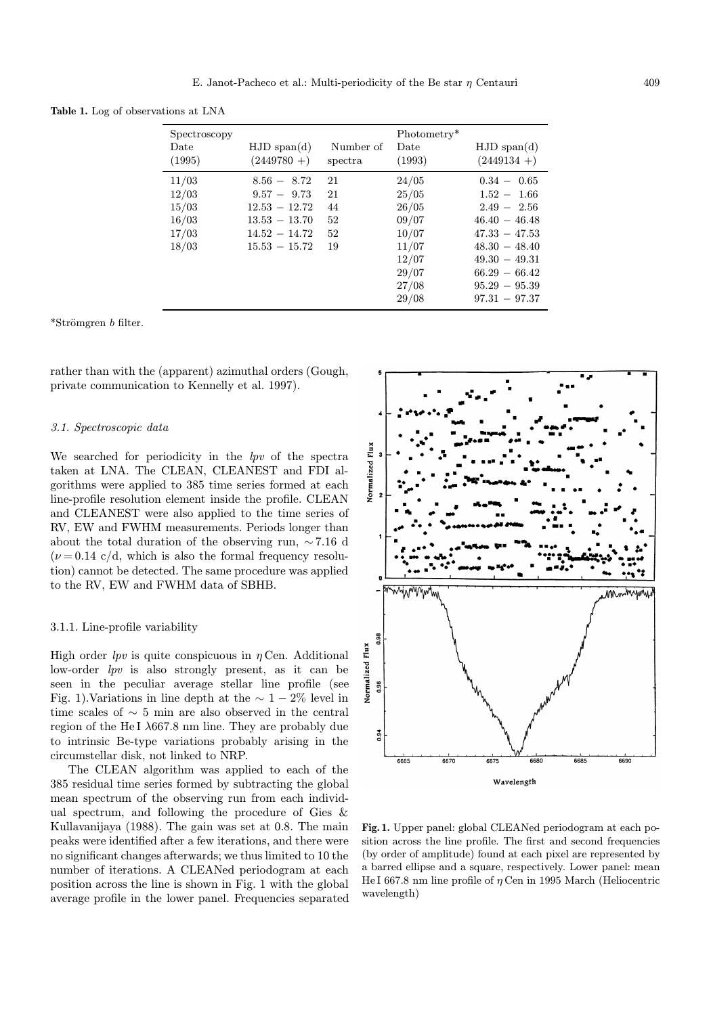Table 1. Log of observations at LNA

| Spectroscopy<br>Date<br>(1995)                     | $HJD$ span $(d)$<br>$(2449780 + )$                                                                         | Number of<br>spectra             | Photometry*<br>Date<br>(1993)                                        | $HJD$ span $(d)$<br>$(2449134 + )$                                                                                                             |
|----------------------------------------------------|------------------------------------------------------------------------------------------------------------|----------------------------------|----------------------------------------------------------------------|------------------------------------------------------------------------------------------------------------------------------------------------|
| 11/03<br>12/03<br>15/03<br>16/03<br>17/03<br>18/03 | $8.56 - 8.72$<br>$9.57 - 9.73$<br>$12.53 - 12.72$<br>$13.53 - 13.70$<br>$14.52 - 14.72$<br>$15.53 - 15.72$ | 21<br>21<br>44<br>52<br>52<br>19 | 24/05<br>25/05<br>26/05<br>09/07<br>10/07<br>11/07<br>12/07<br>29/07 | $0.34 - 0.65$<br>$1.52 - 1.66$<br>$2.49 - 2.56$<br>$46.40 - 46.48$<br>$47.33 - 47.53$<br>$48.30 - 48.40$<br>$49.30 - 49.31$<br>$66.29 - 66.42$ |
|                                                    |                                                                                                            |                                  | 27/08<br>29/08                                                       | $95.29 - 95.39$<br>$97.31 - 97.37$                                                                                                             |

\*Strömgren b filter.

rather than with the (apparent) azimuthal orders (Gough, private communication to Kennelly et al. 1997).

## 3.1. Spectroscopic data

We searched for periodicity in the *lpv* of the spectra taken at LNA. The CLEAN, CLEANEST and FDI algorithms were applied to 385 time series formed at each line-profile resolution element inside the profile. CLEAN and CLEANEST were also applied to the time series of RV, EW and FWHM measurements. Periods longer than about the total duration of the observing run, ∼ 7.16 d  $(\nu = 0.14 \text{ c/d}, \text{ which is also the formal frequency resolution.}$ tion) cannot be detected. The same procedure was applied to the RV, EW and FWHM data of SBHB.

#### 3.1.1. Line-profile variability

High order *lpv* is quite conspicuous in  $\eta$  Cen. Additional low-order lpv is also strongly present, as it can be seen in the peculiar average stellar line profile (see Fig. 1).Variations in line depth at the  $\sim 1-2\%$  level in time scales of ∼ 5 min are also observed in the central region of the He I  $\lambda$ 667.8 nm line. They are probably due to intrinsic Be-type variations probably arising in the circumstellar disk, not linked to NRP.

The CLEAN algorithm was applied to each of the 385 residual time series formed by subtracting the global mean spectrum of the observing run from each individual spectrum, and following the procedure of Gies & Kullavanijaya (1988). The gain was set at 0.8. The main peaks were identified after a few iterations, and there were no significant changes afterwards; we thus limited to 10 the number of iterations. A CLEANed periodogram at each position across the line is shown in Fig. 1 with the global average profile in the lower panel. Frequencies separated



Fig. 1. Upper panel: global CLEANed periodogram at each position across the line profile. The first and second frequencies (by order of amplitude) found at each pixel are represented by a barred ellipse and a square, respectively. Lower panel: mean He I 667.8 nm line profile of  $\eta$  Cen in 1995 March (Heliocentric wavelength)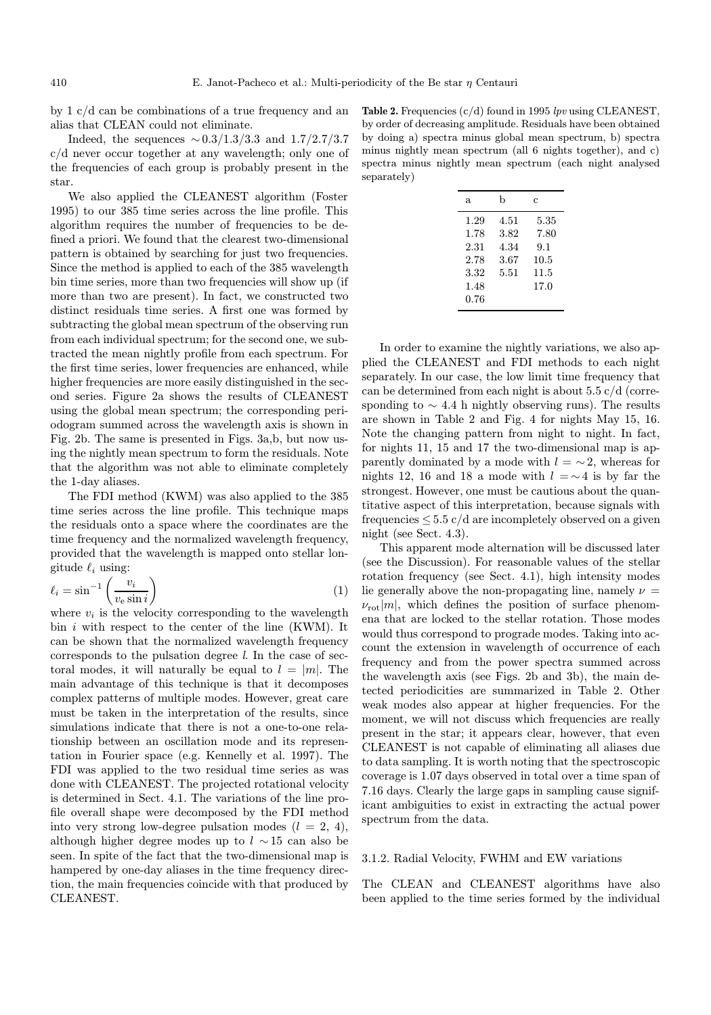by 1 c/d can be combinations of a true frequency and an alias that CLEAN could not eliminate.

Indeed, the sequences  $\sim 0.3/1.3/3.3$  and 1.7/2.7/3.7 c/d never occur together at any wavelength; only one of the frequencies of each group is probably present in the star.

We also applied the CLEANEST algorithm (Foster 1995) to our 385 time series across the line profile. This algorithm requires the number of frequencies to be defined a priori. We found that the clearest two-dimensional pattern is obtained by searching for just two frequencies. Since the method is applied to each of the 385 wavelength bin time series, more than two frequencies will show up (if more than two are present). In fact, we constructed two distinct residuals time series. A first one was formed by subtracting the global mean spectrum of the observing run from each individual spectrum; for the second one, we subtracted the mean nightly profile from each spectrum. For the first time series, lower frequencies are enhanced, while higher frequencies are more easily distinguished in the second series. Figure 2a shows the results of CLEANEST using the global mean spectrum; the corresponding periodogram summed across the wavelength axis is shown in Fig. 2b. The same is presented in Figs. 3a,b, but now using the nightly mean spectrum to form the residuals. Note that the algorithm was not able to eliminate completely the 1-day aliases.

The FDI method (KWM) was also applied to the 385 time series across the line profile. This technique maps the residuals onto a space where the coordinates are the time frequency and the normalized wavelength frequency, provided that the wavelength is mapped onto stellar longitude  $\ell_i$  using:

$$
\ell_i = \sin^{-1}\left(\frac{v_i}{v_e \sin i}\right) \tag{1}
$$

where  $v_i$  is the velocity corresponding to the wavelength bin  $i$  with respect to the center of the line (KWM). It can be shown that the normalized wavelength frequency corresponds to the pulsation degree l. In the case of sectoral modes, it will naturally be equal to  $l = |m|$ . The main advantage of this technique is that it decomposes complex patterns of multiple modes. However, great care must be taken in the interpretation of the results, since simulations indicate that there is not a one-to-one relationship between an oscillation mode and its representation in Fourier space (e.g. Kennelly et al. 1997). The FDI was applied to the two residual time series as was done with CLEANEST. The projected rotational velocity is determined in Sect. 4.1. The variations of the line profile overall shape were decomposed by the FDI method into very strong low-degree pulsation modes  $(l = 2, 4)$ , although higher degree modes up to  $l \sim 15$  can also be seen. In spite of the fact that the two-dimensional map is hampered by one-day aliases in the time frequency direction, the main frequencies coincide with that produced by CLEANEST.

**Table 2.** Frequencies  $(c/d)$  found in 1995 lpv using CLEANEST, by order of decreasing amplitude. Residuals have been obtained by doing a) spectra minus global mean spectrum, b) spectra minus nightly mean spectrum (all 6 nights together), and c) spectra minus nightly mean spectrum (each night analysed separately)

| a.                                                   | h                                    | C                                           |
|------------------------------------------------------|--------------------------------------|---------------------------------------------|
| 1.29<br>1.78<br>2.31<br>2.78<br>3.32<br>1.48<br>0.76 | 4.51<br>3.82<br>4.34<br>3.67<br>5.51 | 5.35<br>7.80<br>9.1<br>10.5<br>11.5<br>17.0 |

In order to examine the nightly variations, we also applied the CLEANEST and FDI methods to each night separately. In our case, the low limit time frequency that can be determined from each night is about 5.5 c/d (corresponding to  $\sim$  4.4 h nightly observing runs). The results are shown in Table 2 and Fig. 4 for nights May 15, 16. Note the changing pattern from night to night. In fact, for nights 11, 15 and 17 the two-dimensional map is apparently dominated by a mode with  $l = \sim 2$ , whereas for nights 12, 16 and 18 a mode with  $l = \sim 4$  is by far the strongest. However, one must be cautious about the quantitative aspect of this interpretation, because signals with frequencies  $\leq 5.5 \frac{\text{c}}{\text{d}}$  are incompletely observed on a given night (see Sect. 4.3).

This apparent mode alternation will be discussed later (see the Discussion). For reasonable values of the stellar rotation frequency (see Sect. 4.1), high intensity modes lie generally above the non-propagating line, namely  $\nu =$  $\nu_{\rm rot}|m|$ , which defines the position of surface phenomena that are locked to the stellar rotation. Those modes would thus correspond to prograde modes. Taking into account the extension in wavelength of occurrence of each frequency and from the power spectra summed across the wavelength axis (see Figs. 2b and 3b), the main detected periodicities are summarized in Table 2. Other weak modes also appear at higher frequencies. For the moment, we will not discuss which frequencies are really present in the star; it appears clear, however, that even CLEANEST is not capable of eliminating all aliases due to data sampling. It is worth noting that the spectroscopic coverage is 1.07 days observed in total over a time span of 7.16 days. Clearly the large gaps in sampling cause significant ambiguities to exist in extracting the actual power spectrum from the data.

## 3.1.2. Radial Velocity, FWHM and EW variations

The CLEAN and CLEANEST algorithms have also been applied to the time series formed by the individual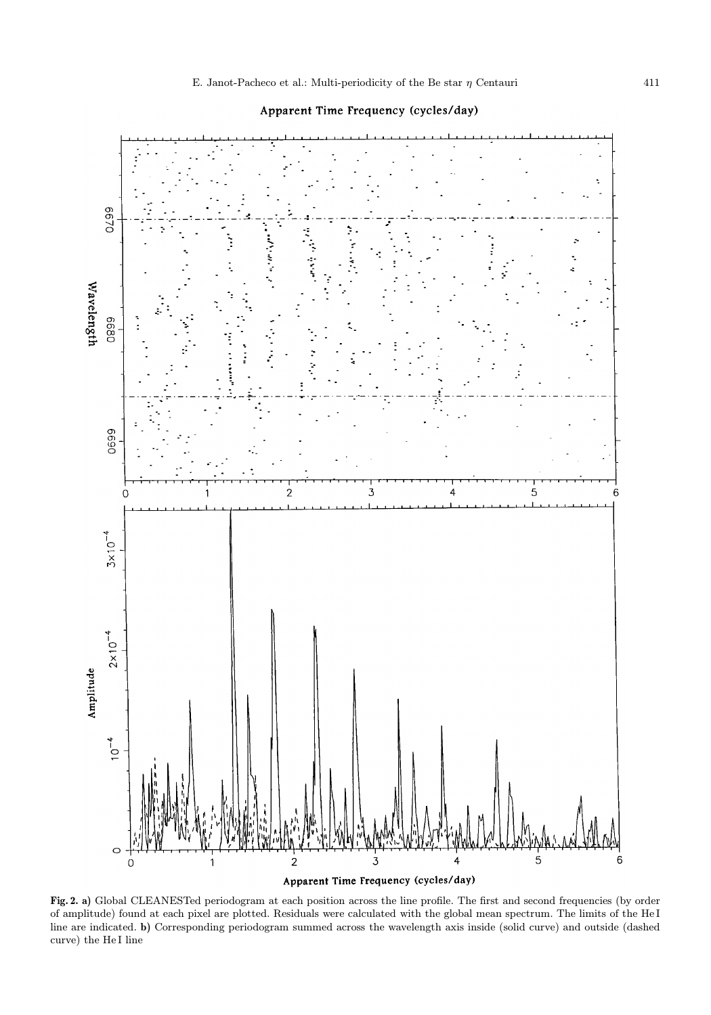

Apparent Time Frequency (cycles/day)

Fig. 2. a) Global CLEANESTed periodogram at each position across the line profile. The first and second frequencies (by order of amplitude) found at each pixel are plotted. Residuals were calculated with the global mean spectrum. The limits of the He I line are indicated. b) Corresponding periodogram summed across the wavelength axis inside (solid curve) and outside (dashed curve) the He I line

3 Apparent Time Frequency (cycles/day)

 $\overline{\mathbf{c}}$ 

 $\circ$ 

 $\mathbf C$ 

6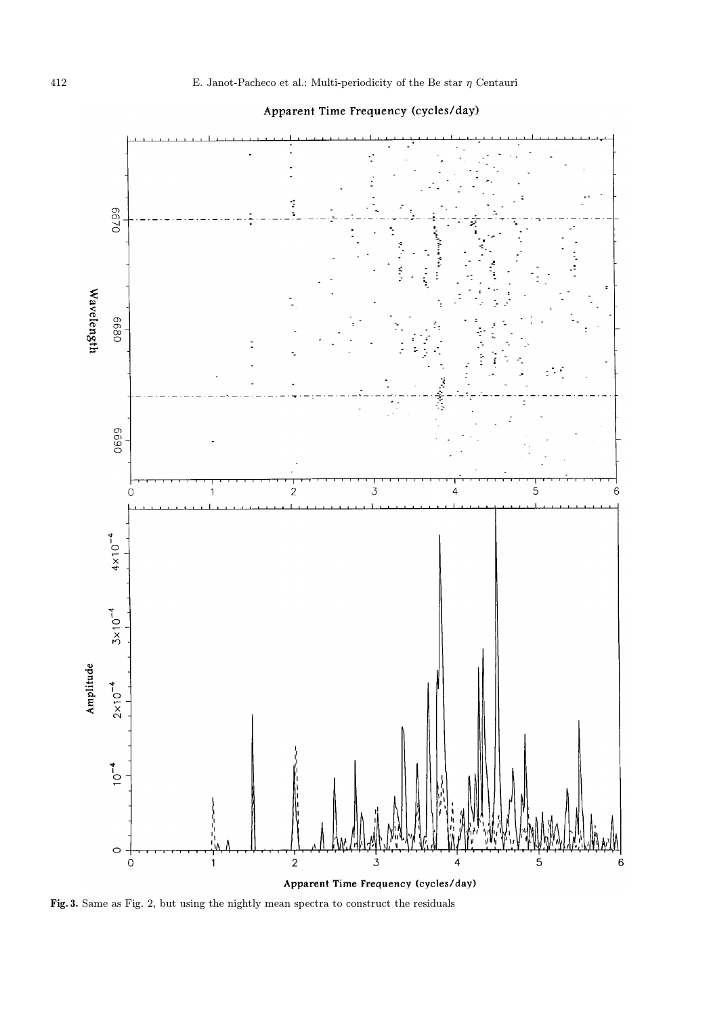

Apparent Time Frequency (cycles/day)

Fig. 3. Same as Fig. 2, but using the nightly mean spectra to construct the residuals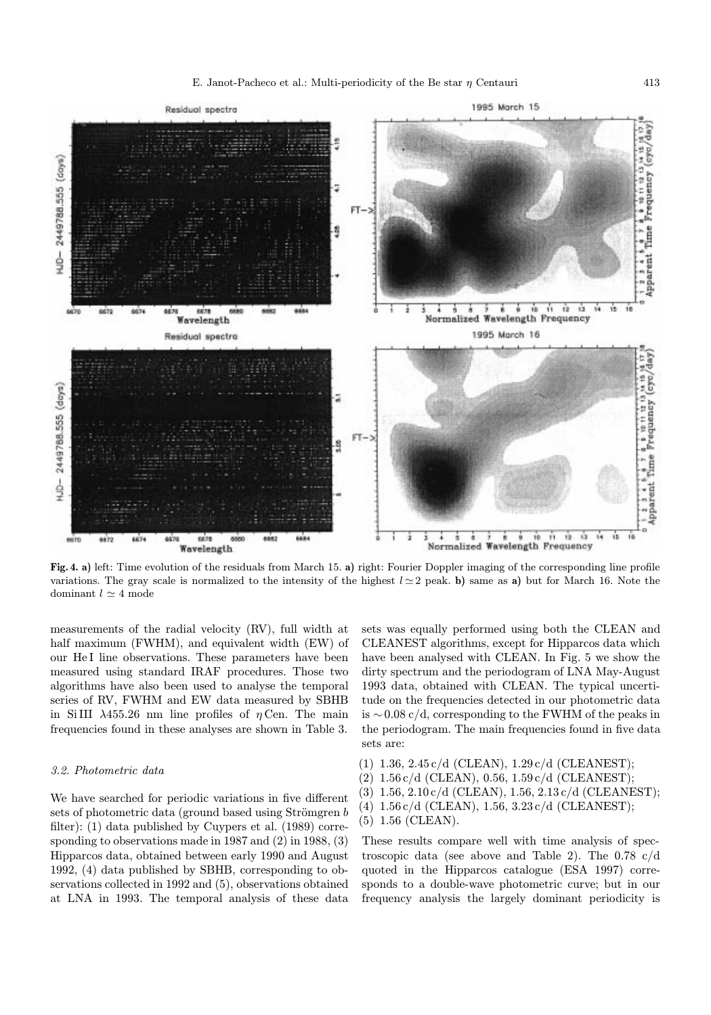

Fig. 4. a) left: Time evolution of the residuals from March 15. a) right: Fourier Doppler imaging of the corresponding line profile variations. The gray scale is normalized to the intensity of the highest  $l \approx 2$  peak. b) same as a) but for March 16. Note the dominant  $l \simeq 4$  mode

measurements of the radial velocity (RV), full width at half maximum (FWHM), and equivalent width (EW) of our He I line observations. These parameters have been measured using standard IRAF procedures. Those two algorithms have also been used to analyse the temporal series of RV, FWHM and EW data measured by SBHB in Si III  $\lambda$ 455.26 nm line profiles of  $\eta$  Cen. The main frequencies found in these analyses are shown in Table 3.

#### 3.2. Photometric data

We have searched for periodic variations in five different sets of photometric data (ground based using Strömgren  $b$ filter): (1) data published by Cuypers et al. (1989) corresponding to observations made in 1987 and (2) in 1988, (3) Hipparcos data, obtained between early 1990 and August 1992, (4) data published by SBHB, corresponding to observations collected in 1992 and (5), observations obtained at LNA in 1993. The temporal analysis of these data sets was equally performed using both the CLEAN and CLEANEST algorithms, except for Hipparcos data which have been analysed with CLEAN. In Fig. 5 we show the dirty spectrum and the periodogram of LNA May-August 1993 data, obtained with CLEAN. The typical uncertitude on the frequencies detected in our photometric data is ∼ 0.08 c/d, corresponding to the FWHM of the peaks in the periodogram. The main frequencies found in five data sets are:

- (1) 1.36, 2.45 c/d (CLEAN), 1.29 c/d (CLEANEST);
- (2) 1.56 c/d (CLEAN), 0.56, 1.59 c/d (CLEANEST);
- (3) 1.56, 2.10 c/d (CLEAN), 1.56, 2.13 c/d (CLEANEST);
- (4) 1.56 c/d (CLEAN), 1.56, 3.23 c/d (CLEANEST);
- (5) 1.56 (CLEAN).

These results compare well with time analysis of spectroscopic data (see above and Table 2). The  $0.78 \text{ c/d}$ quoted in the Hipparcos catalogue (ESA 1997) corresponds to a double-wave photometric curve; but in our frequency analysis the largely dominant periodicity is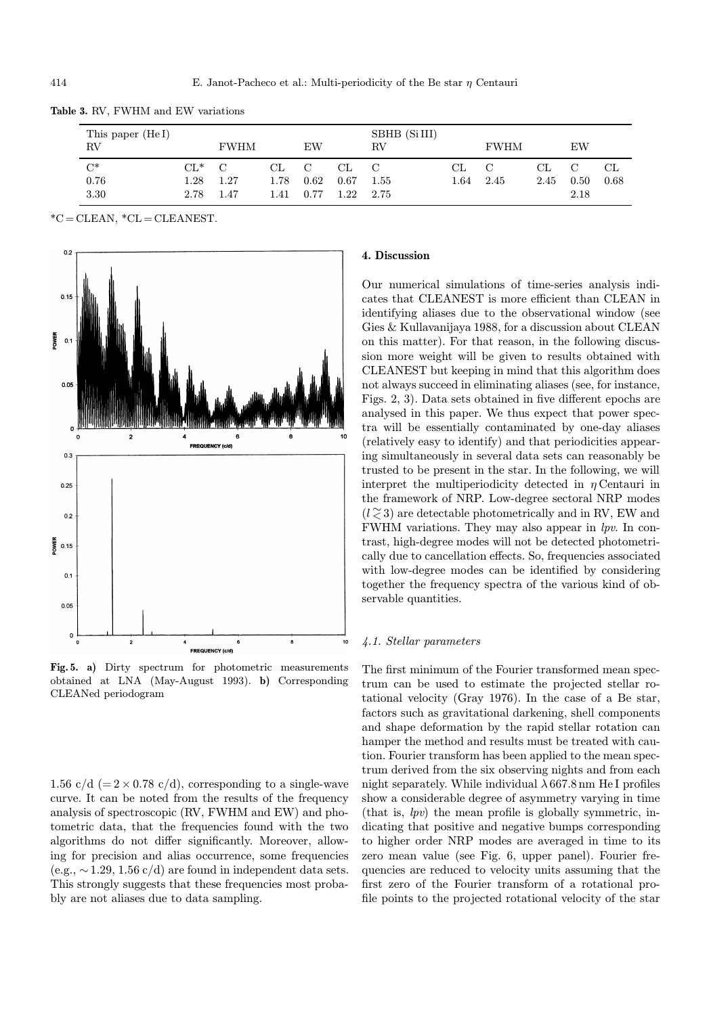| This paper (HeI)<br>RV |        | <b>FWHM</b>   |          | EW   |      | SBHB (SiIII)<br>RV |      | <b>FWHM</b> |      | EW   |      |
|------------------------|--------|---------------|----------|------|------|--------------------|------|-------------|------|------|------|
| $C^*$                  | $CL^*$ | $\mathcal{C}$ | $\rm CL$ | C    | CL.  |                    | CL   | C           | СL   |      | CL   |
| 0.76                   | 1.28   | 1.27          | 1.78     | 0.62 | 0.67 | 1.55               | 1.64 | 2.45        | 2.45 | 0.50 | 0.68 |
| 3.30                   | 2.78   | 1.47          | 1.41     | 0.77 | 1.22 | 2.75               |      |             |      | 2.18 |      |

Table 3. RV, FWHM and EW variations

 $^{\ast}C = CLEAN, \ ^{\ast}CL = CLEANEST.$ 



Fig. 5. a) Dirty spectrum for photometric measurements obtained at LNA (May-August 1993). b) Corresponding CLEANed periodogram

1.56 c/d (=  $2 \times 0.78$  c/d), corresponding to a single-wave curve. It can be noted from the results of the frequency analysis of spectroscopic (RV, FWHM and EW) and photometric data, that the frequencies found with the two algorithms do not differ significantly. Moreover, allowing for precision and alias occurrence, some frequencies (e.g., ∼ 1.29, 1.56 c/d) are found in independent data sets. This strongly suggests that these frequencies most probably are not aliases due to data sampling.

#### 4. Discussion

Our numerical simulations of time-series analysis indicates that CLEANEST is more efficient than CLEAN in identifying aliases due to the observational window (see Gies & Kullavanijaya 1988, for a discussion about CLEAN on this matter). For that reason, in the following discussion more weight will be given to results obtained with CLEANEST but keeping in mind that this algorithm does not always succeed in eliminating aliases (see, for instance, Figs. 2, 3). Data sets obtained in five different epochs are analysed in this paper. We thus expect that power spectra will be essentially contaminated by one-day aliases (relatively easy to identify) and that periodicities appearing simultaneously in several data sets can reasonably be trusted to be present in the star. In the following, we will interpret the multiperiodicity detected in  $\eta$  Centauri in the framework of NRP. Low-degree sectoral NRP modes  $(l \gtrsim 3)$  are detectable photometrically and in RV, EW and FWHM variations. They may also appear in lpv. In contrast, high-degree modes will not be detected photometrically due to cancellation effects. So, frequencies associated with low-degree modes can be identified by considering together the frequency spectra of the various kind of observable quantities.

## 4.1. Stellar parameters

The first minimum of the Fourier transformed mean spectrum can be used to estimate the projected stellar rotational velocity (Gray 1976). In the case of a Be star, factors such as gravitational darkening, shell components and shape deformation by the rapid stellar rotation can hamper the method and results must be treated with caution. Fourier transform has been applied to the mean spectrum derived from the six observing nights and from each night separately. While individual  $\lambda$  667.8 nm He I profiles show a considerable degree of asymmetry varying in time (that is,  $lpv$ ) the mean profile is globally symmetric, indicating that positive and negative bumps corresponding to higher order NRP modes are averaged in time to its zero mean value (see Fig. 6, upper panel). Fourier frequencies are reduced to velocity units assuming that the first zero of the Fourier transform of a rotational profile points to the projected rotational velocity of the star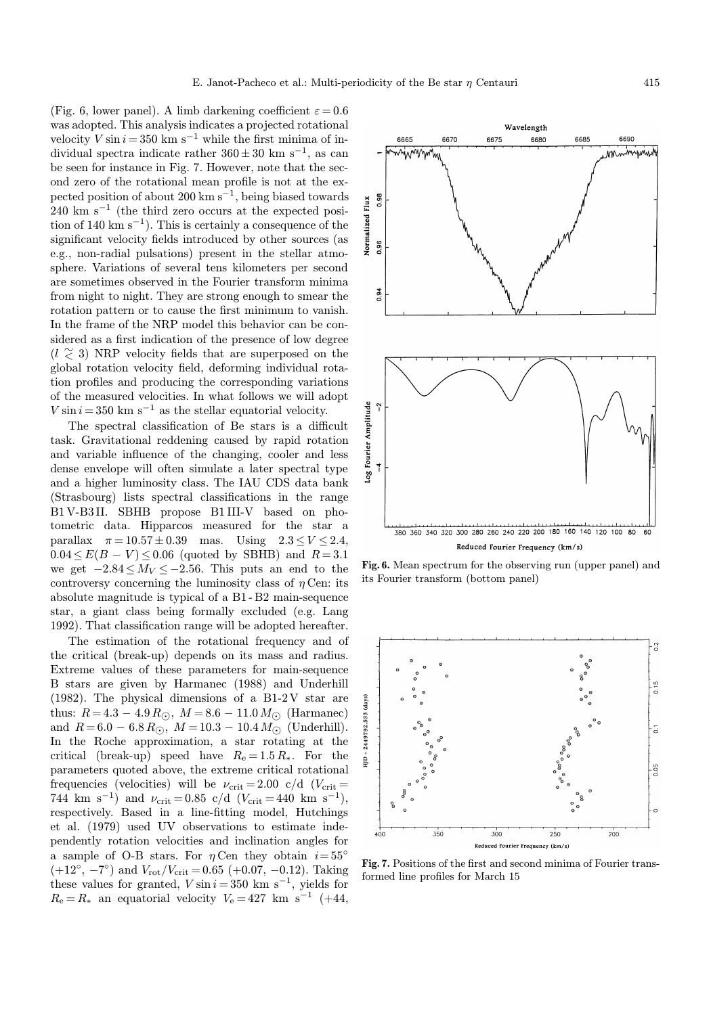(Fig. 6, lower panel). A limb darkening coefficient  $\varepsilon = 0.6$ was adopted. This analysis indicates a projected rotational velocity  $V \sin i = 350$  km s<sup>-1</sup> while the first minima of individual spectra indicate rather  $360 \pm 30$  km s<sup>-1</sup>, as can be seen for instance in Fig. 7. However, note that the second zero of the rotational mean profile is not at the expected position of about 200 km s<sup>−</sup><sup>1</sup>, being biased towards 240 km s<sup>−1</sup> (the third zero occurs at the expected position of 140 km s<sup> $-1$ </sup>). This is certainly a consequence of the significant velocity fields introduced by other sources (as e.g., non-radial pulsations) present in the stellar atmosphere. Variations of several tens kilometers per second are sometimes observed in the Fourier transform minima from night to night. They are strong enough to smear the rotation pattern or to cause the first minimum to vanish. In the frame of the NRP model this behavior can be considered as a first indication of the presence of low degree  $(l \approx 3)$  NRP velocity fields that are superposed on the global rotation velocity field, deforming individual rotation profiles and producing the corresponding variations of the measured velocities. In what follows we will adopt  $V \sin i = 350$  km s<sup>-1</sup> as the stellar equatorial velocity.

The spectral classification of Be stars is a difficult task. Gravitational reddening caused by rapid rotation and variable influence of the changing, cooler and less dense envelope will often simulate a later spectral type and a higher luminosity class. The IAU CDS data bank (Strasbourg) lists spectral classifications in the range B1 V-B3 II. SBHB propose B1 III-V based on photometric data. Hipparcos measured for the star a parallax  $\pi = 10.57 \pm 0.39$  mas. Using  $2.3 \le V \le 2.4$ ,  $0.04 \leq E(B-V) \leq 0.06$  (quoted by SBHB) and  $R = 3.1$ we get  $-2.84 \le M_V \le -2.56$ . This puts an end to the controversy concerning the luminosity class of  $\eta$  Cen: its absolute magnitude is typical of a B1 - B2 main-sequence star, a giant class being formally excluded (e.g. Lang 1992). That classification range will be adopted hereafter.

The estimation of the rotational frequency and of the critical (break-up) depends on its mass and radius. Extreme values of these parameters for main-sequence B stars are given by Harmanec (1988) and Underhill (1982). The physical dimensions of a B1-2V star are thus:  $R = 4.3 - 4.9 R_{\odot}$ ,  $M = 8.6 - 11.0 M_{\odot}$  (Harmanec) and  $R = 6.0 - 6.8 R_{\odot}$ ,  $M = 10.3 - 10.4 M_{\odot}$  (Underhill). In the Roche approximation, a star rotating at the critical (break-up) speed have  $R_e = 1.5 R_*$ . For the parameters quoted above, the extreme critical rotational frequencies (velocities) will be  $\nu_{\rm crit} = 2.00 \text{ c/d}$  ( $V_{\rm crit} =$ 744 km s<sup>-1</sup>) and  $\nu_{\rm crit} = 0.85 \text{ c/d}$  ( $V_{\rm crit} = 440 \text{ km s}^{-1}$ ), respectively. Based in a line-fitting model, Hutchings et al. (1979) used UV observations to estimate independently rotation velocities and inclination angles for a sample of O-B stars. For  $\eta$  Cen they obtain  $i = 55^{\circ}$  $(+12^{\circ}, -7^{\circ})$  and  $V_{\text{rot}}/V_{\text{crit}} = 0.65 (+0.07, -0.12)$ . Taking these values for granted,  $V \sin i = 350$  km s<sup>-1</sup>, yields for  $R_e = R_*$  an equatorial velocity  $V_e = 427$  km s<sup>-1</sup> (+44,



Fig. 6. Mean spectrum for the observing run (upper panel) and its Fourier transform (bottom panel)



Fig. 7. Positions of the first and second minima of Fourier transformed line profiles for March 15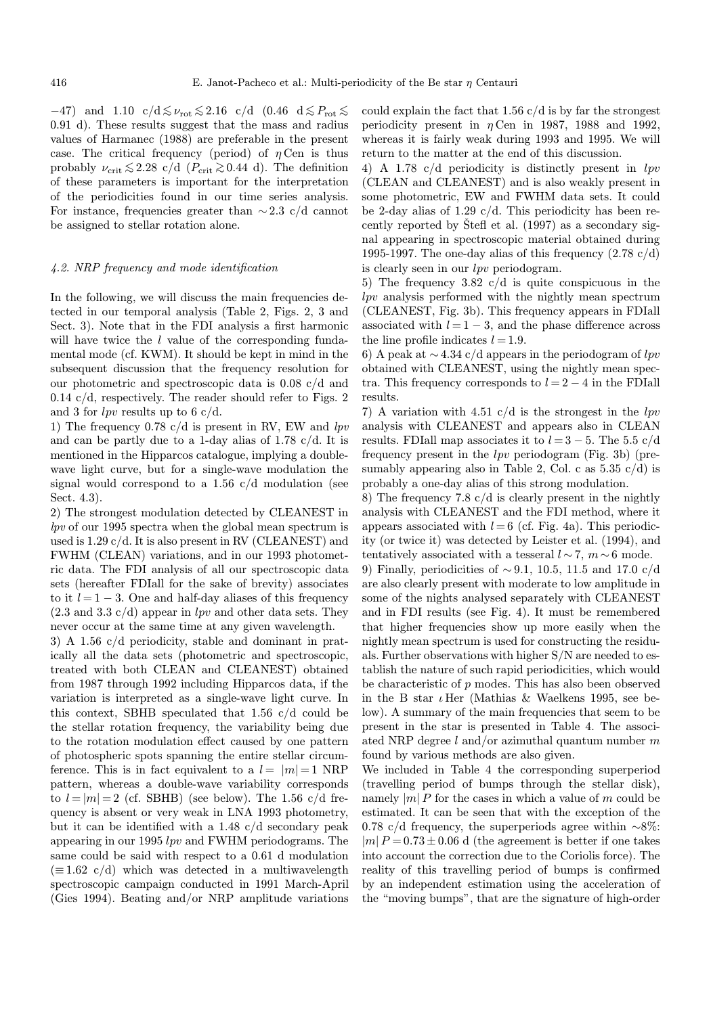−47) and 1.10 c/d  $\lesssim \nu_{\rm rot} \lesssim 2.16$  c/d (0.46 d  $\lesssim P_{\rm rot} \lesssim 0.91$  d). These results suggest that the mass and radius values of Harmanec (1988) are preferable in the present case. The critical frequency (period) of  $\eta$  Cen is thus probably  $\nu_{\rm crit} \lesssim 2.28$  c/d ( $P_{\rm crit} \gtrsim 0.44$  d). The definition of these parameters is important for the interpretation of the periodicities found in our time series analysis. For instance, frequencies greater than  $\sim$  2.3 c/d cannot be assigned to stellar rotation alone.

# 4.2. NRP frequency and mode identification

In the following, we will discuss the main frequencies detected in our temporal analysis (Table 2, Figs. 2, 3 and Sect. 3). Note that in the FDI analysis a first harmonic will have twice the l value of the corresponding fundamental mode (cf. KWM). It should be kept in mind in the subsequent discussion that the frequency resolution for our photometric and spectroscopic data is 0.08 c/d and 0.14 c/d, respectively. The reader should refer to Figs. 2 and 3 for  $lpv$  results up to 6 c/d.

1) The frequency 0.78  $c/d$  is present in RV, EW and lpv and can be partly due to a 1-day alias of 1.78 c/d. It is mentioned in the Hipparcos catalogue, implying a doublewave light curve, but for a single-wave modulation the signal would correspond to a 1.56  $c/d$  modulation (see Sect. 4.3).

2) The strongest modulation detected by CLEANEST in lpv of our 1995 spectra when the global mean spectrum is used is 1.29 c/d. It is also present in RV (CLEANEST) and FWHM (CLEAN) variations, and in our 1993 photometric data. The FDI analysis of all our spectroscopic data sets (hereafter FDIall for the sake of brevity) associates to it  $l = 1 - 3$ . One and half-day aliases of this frequency  $(2.3 \text{ and } 3.3 \text{ c/d})$  appear in lpv and other data sets. They never occur at the same time at any given wavelength.

3) A 1.56 c/d periodicity, stable and dominant in pratically all the data sets (photometric and spectroscopic, treated with both CLEAN and CLEANEST) obtained from 1987 through 1992 including Hipparcos data, if the variation is interpreted as a single-wave light curve. In this context, SBHB speculated that 1.56 c/d could be the stellar rotation frequency, the variability being due to the rotation modulation effect caused by one pattern of photospheric spots spanning the entire stellar circumference. This is in fact equivalent to a  $l = |m| = 1$  NRP pattern, whereas a double-wave variability corresponds to  $l = |m| = 2$  (cf. SBHB) (see below). The 1.56 c/d frequency is absent or very weak in LNA 1993 photometry, but it can be identified with a 1.48 c/d secondary peak appearing in our 1995 lpv and FWHM periodograms. The same could be said with respect to a 0.61 d modulation  $(≡ 1.62 \text{ c/d})$  which was detected in a multiwavelength spectroscopic campaign conducted in 1991 March-April (Gies 1994). Beating and/or NRP amplitude variations

could explain the fact that  $1.56$  c/d is by far the strongest periodicity present in  $n$  Cen in 1987, 1988 and 1992, whereas it is fairly weak during 1993 and 1995. We will return to the matter at the end of this discussion.

4) A 1.78 c/d periodicity is distinctly present in lpv (CLEAN and CLEANEST) and is also weakly present in some photometric, EW and FWHM data sets. It could be 2-day alias of 1.29  $c/d$ . This periodicity has been recently reported by Stefl et al.  $(1997)$  as a secondary signal appearing in spectroscopic material obtained during 1995-1997. The one-day alias of this frequency  $(2.78 \text{ c/d})$ is clearly seen in our lpv periodogram.

5) The frequency 3.82 c/d is quite conspicuous in the lpv analysis performed with the nightly mean spectrum (CLEANEST, Fig. 3b). This frequency appears in FDIall associated with  $l = 1 - 3$ , and the phase difference across the line profile indicates  $l = 1.9$ .

6) A peak at  $\sim$  4.34 c/d appears in the periodogram of lpv obtained with CLEANEST, using the nightly mean spectra. This frequency corresponds to  $l = 2 - 4$  in the FDIall results.

7) A variation with 4.51  $c/d$  is the strongest in the lpv analysis with CLEANEST and appears also in CLEAN results. FDIall map associates it to  $l = 3 - 5$ . The 5.5 c/d frequency present in the  $lpv$  periodogram (Fig. 3b) (presumably appearing also in Table 2, Col. c as  $5.35 \text{ c/d}$  is probably a one-day alias of this strong modulation.

8) The frequency 7.8 c/d is clearly present in the nightly analysis with CLEANEST and the FDI method, where it appears associated with  $l = 6$  (cf. Fig. 4a). This periodicity (or twice it) was detected by Leister et al. (1994), and tentatively associated with a tesseral  $l \sim 7$ ,  $m \sim 6$  mode.

9) Finally, periodicities of ∼ 9.1, 10.5, 11.5 and 17.0 c/d are also clearly present with moderate to low amplitude in some of the nights analysed separately with CLEANEST and in FDI results (see Fig. 4). It must be remembered that higher frequencies show up more easily when the nightly mean spectrum is used for constructing the residuals. Further observations with higher S/N are needed to establish the nature of such rapid periodicities, which would be characteristic of  $p$  modes. This has also been observed in the B star  $\iota$  Her (Mathias & Waelkens 1995, see below). A summary of the main frequencies that seem to be present in the star is presented in Table 4. The associated NRP degree l and/or azimuthal quantum number  $m$ found by various methods are also given.

We included in Table 4 the corresponding superperiod (travelling period of bumps through the stellar disk), namely  $|m| P$  for the cases in which a value of m could be estimated. It can be seen that with the exception of the 0.78 c/d frequency, the superperiods agree within ∼8%:  $|m| P = 0.73 \pm 0.06$  d (the agreement is better if one takes into account the correction due to the Coriolis force). The reality of this travelling period of bumps is confirmed by an independent estimation using the acceleration of the "moving bumps", that are the signature of high-order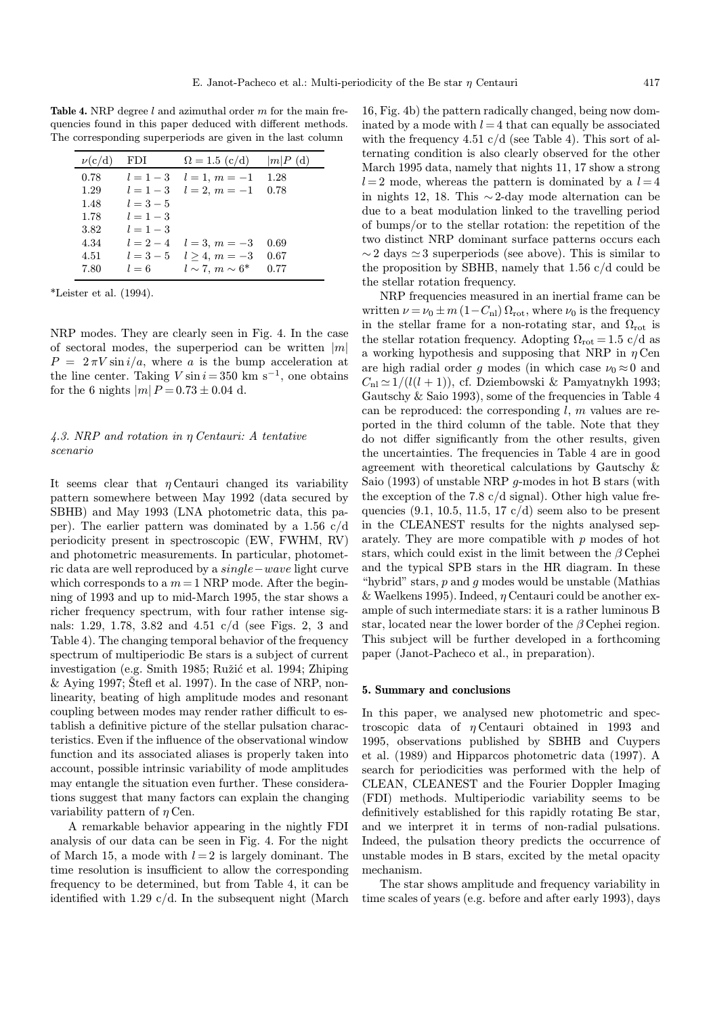Table 4. NRP degree  $l$  and azimuthal order  $m$  for the main frequencies found in this paper deduced with different methods. The corresponding superperiods are given in the last column

| $\nu(c/d)$ | FDI         | $\Omega = 1.5 \; (c/d)$   | $ m P(\mathrm{d})$ |
|------------|-------------|---------------------------|--------------------|
| 0.78       | $l = 1 - 3$ | $l = 1, m = -1$           | 1.28               |
| 1.29       | $l = 1 - 3$ | $l = 2, m = -1$           | 0.78               |
| 1.48       | $l = 3 - 5$ |                           |                    |
| 1.78       | $l = 1 - 3$ |                           |                    |
| 3.82       | $l = 1 - 3$ |                           |                    |
| 4.34       | $l = 2 - 4$ | $l = 3, m = -3$           | 0.69               |
| 4.51       | $l = 3 - 5$ | $l > 4, m = -3$           | 0.67               |
| 7.80       | $l=6$       | $l \sim 7$ , $m \sim 6^*$ | 0.77               |

\*Leister et al. (1994).

NRP modes. They are clearly seen in Fig. 4. In the case of sectoral modes, the superperiod can be written  $|m|$  $P = 2 \pi V \sin i/a$ , where a is the bump acceleration at the line center. Taking  $V \sin i = 350$  km s<sup>-1</sup>, one obtains for the 6 nights  $|m| P = 0.73 \pm 0.04$  d.

# 4.3. NRP and rotation in η Centauri: A tentative scenario

It seems clear that  $\eta$  Centauri changed its variability pattern somewhere between May 1992 (data secured by SBHB) and May 1993 (LNA photometric data, this paper). The earlier pattern was dominated by a 1.56 c/d periodicity present in spectroscopic (EW, FWHM, RV) and photometric measurements. In particular, photometric data are well reproduced by a single−wave light curve which corresponds to a  $m = 1$  NRP mode. After the beginning of 1993 and up to mid-March 1995, the star shows a richer frequency spectrum, with four rather intense signals: 1.29, 1.78, 3.82 and 4.51 c/d (see Figs. 2, 3 and Table 4). The changing temporal behavior of the frequency spectrum of multiperiodic Be stars is a subject of current investigation (e.g. Smith 1985; Ružić et al. 1994; Zhiping & Aying 1997;  $\text{\r{S}tefl}$  et al. 1997). In the case of NRP, nonlinearity, beating of high amplitude modes and resonant coupling between modes may render rather difficult to establish a definitive picture of the stellar pulsation characteristics. Even if the influence of the observational window function and its associated aliases is properly taken into account, possible intrinsic variability of mode amplitudes may entangle the situation even further. These considerations suggest that many factors can explain the changing variability pattern of  $\eta$  Cen.

A remarkable behavior appearing in the nightly FDI analysis of our data can be seen in Fig. 4. For the night of March 15, a mode with  $l = 2$  is largely dominant. The time resolution is insufficient to allow the corresponding frequency to be determined, but from Table 4, it can be identified with 1.29  $c/d$ . In the subsequent night (March 16, Fig. 4b) the pattern radically changed, being now dominated by a mode with  $l = 4$  that can equally be associated with the frequency 4.51  $c/d$  (see Table 4). This sort of alternating condition is also clearly observed for the other March 1995 data, namely that nights 11, 17 show a strong  $l = 2$  mode, whereas the pattern is dominated by a  $l = 4$ in nights 12, 18. This ∼ 2-day mode alternation can be due to a beat modulation linked to the travelling period of bumps/or to the stellar rotation: the repetition of the two distinct NRP dominant surface patterns occurs each  $\sim$  2 days  $\simeq$  3 superperiods (see above). This is similar to the proposition by SBHB, namely that 1.56 c/d could be the stellar rotation frequency.

NRP frequencies measured in an inertial frame can be written  $\nu = \nu_0 \pm m (1 - C_{\rm nl}) \Omega_{\rm rot}$ , where  $\nu_0$  is the frequency in the stellar frame for a non-rotating star, and  $\Omega_{\text{rot}}$  is the stellar rotation frequency. Adopting  $\Omega_{\rm rot} = 1.5 \text{ c/d}$  as a working hypothesis and supposing that NRP in  $\eta$  Cen are high radial order g modes (in which case  $\nu_0 \approx 0$  and  $C_{\rm nl} \simeq 1/(l(l+1))$ , cf. Dziembowski & Pamyatnykh 1993; Gautschy & Saio 1993), some of the frequencies in Table 4 can be reproduced: the corresponding  $l, m$  values are reported in the third column of the table. Note that they do not differ significantly from the other results, given the uncertainties. The frequencies in Table 4 are in good agreement with theoretical calculations by Gautschy & Saio (1993) of unstable NRP g-modes in hot B stars (with the exception of the 7.8  $c/d$  signal). Other high value frequencies  $(9.1, 10.5, 11.5, 17 \text{ c/d})$  seem also to be present in the CLEANEST results for the nights analysed separately. They are more compatible with  $p$  modes of hot stars, which could exist in the limit between the  $\beta$  Cephei and the typical SPB stars in the HR diagram. In these "hybrid" stars,  $p$  and  $q$  modes would be unstable (Mathias & Waelkens 1995). Indeed,  $\eta$  Centauri could be another example of such intermediate stars: it is a rather luminous B star, located near the lower border of the  $\beta$  Cephei region. This subject will be further developed in a forthcoming paper (Janot-Pacheco et al., in preparation).

## 5. Summary and conclusions

In this paper, we analysed new photometric and spectroscopic data of  $\eta$  Centauri obtained in 1993 and 1995, observations published by SBHB and Cuypers et al. (1989) and Hipparcos photometric data (1997). A search for periodicities was performed with the help of CLEAN, CLEANEST and the Fourier Doppler Imaging (FDI) methods. Multiperiodic variability seems to be definitively established for this rapidly rotating Be star, and we interpret it in terms of non-radial pulsations. Indeed, the pulsation theory predicts the occurrence of unstable modes in B stars, excited by the metal opacity mechanism.

The star shows amplitude and frequency variability in time scales of years (e.g. before and after early 1993), days